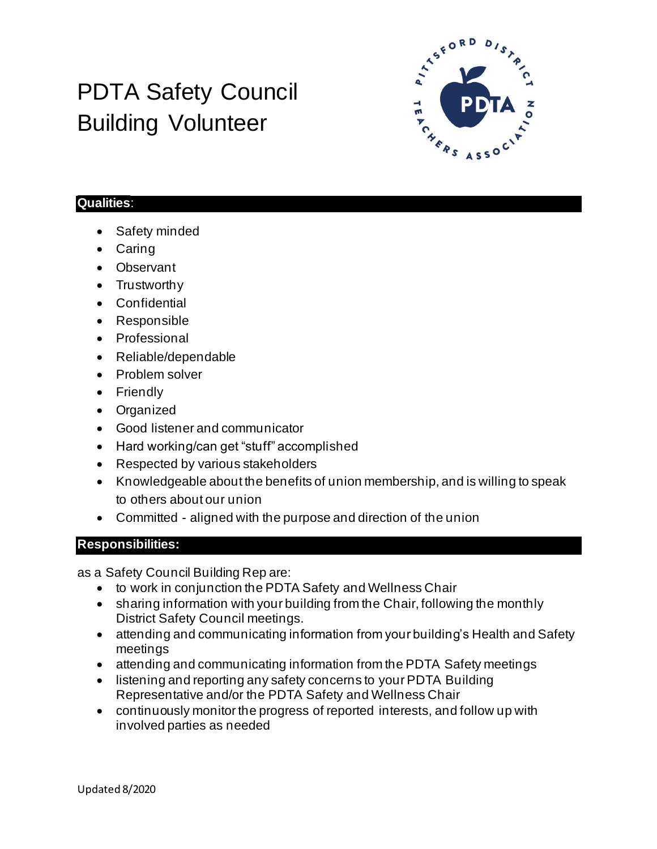## PDTA Safety Council Building Volunteer



## **Qualities**:

- Safety minded
- Caring
- Observant
- Trustworthy
- Confidential
- Responsible
- Professional
- Reliable/dependable
- Problem solver
- Friendly
- Organized
- Good listener and communicator
- Hard working/can get "stuff" accomplished
- Respected by various stakeholders
- Knowledgeable about the benefits of union membership, and is willing to speak to others about our union
- Committed aligned with the purpose and direction of the union

## **Responsibilities:**

as a Safety Council Building Rep are:

- to work in conjunction the PDTA Safety and Wellness Chair
- sharing information with your building from the Chair, following the monthly District Safety Council meetings.
- attending and communicating information from your building's Health and Safety meetings
- attending and communicating information from the PDTA Safety meetings
- listening and reporting any safety concerns to your PDTA Building Representative and/or the PDTA Safety and Wellness Chair
- continuously monitor the progress of reported interests, and follow up with involved parties as needed